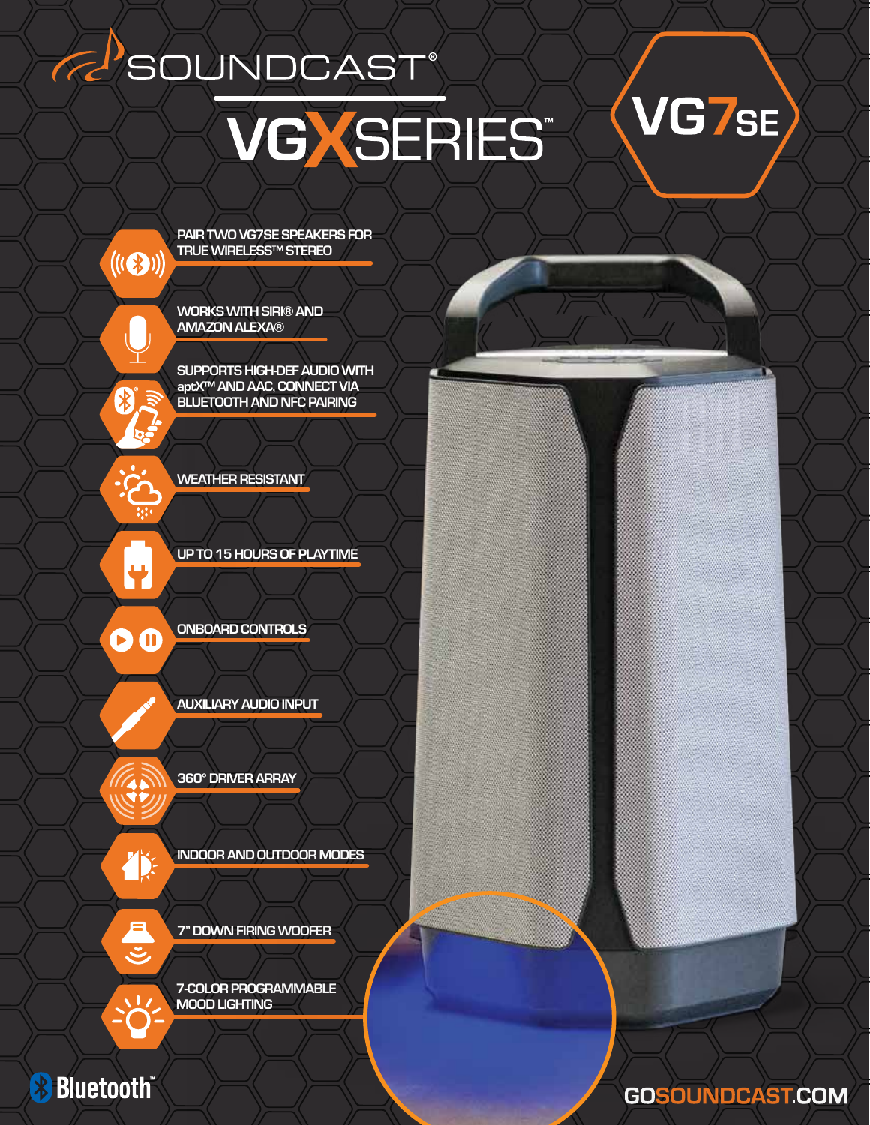### R SOUNDCAST®

# VGXSERIES

### VG7SE

**GOSOUNDCAST.COM** 

PAIR TWO VG7SE SPEAKERS FOR TRUE WIRELESS™ STEREO

WORKS WITH SIRI® AND AMAZON ALEXA®

SUPPORTS HIGH-DEF AUDIO WITH aptX™ AND AAC, CONNECT VIA BLUETOOTH AND NFC PAIRING

WEATHER RESISTANT

UP TO 15 HOURS OF PLAYTIME

O

ONBOARD CONTROLS

AUXILIARY AUDIO INPUT

**TX** 

 $\mathbf{C}$ 

 $\frac{1}{2}$ 

**Bluetooth** 

₩

D

 $((\mathbf{C}_\mathbf{S}))$ 

 $\bigtriangledown$ 

INDOOR AND OUTDOOR MODES

7" DOWN FIRING WOOFER

7-COLOR PROGRAMMABLE

MOOD LIGHTING

360° DRIVER ARRAY